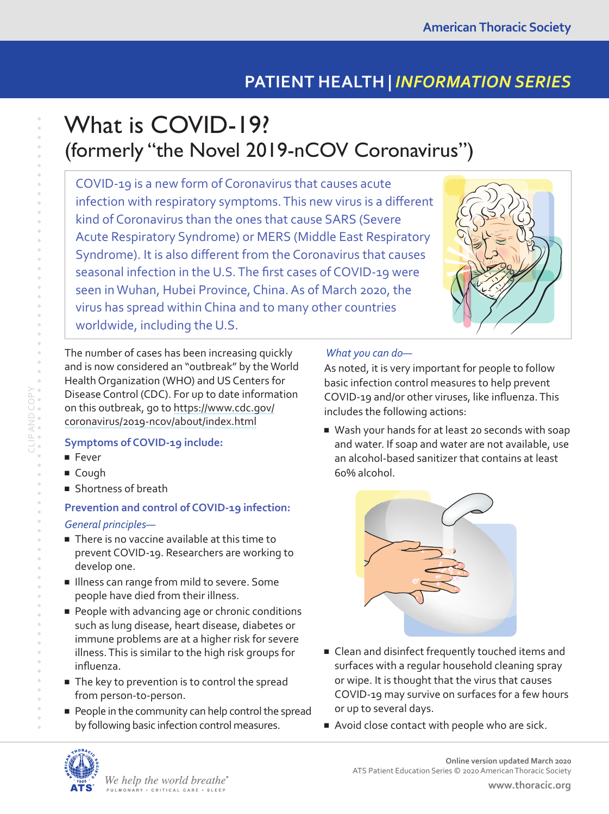# **PATIENT HEALTH |** *INFORMATION SERIES*

# What is COVID-19? (formerly "the Novel 2019-nCOV Coronavirus")

COVID-19 is a new form of Coronavirus that causes acute infection with respiratory symptoms. This new virus is a different kind of Coronavirus than the ones that cause SARS (Severe Acute Respiratory Syndrome) or MERS (Middle East Respiratory Syndrome). It is also different from the Coronavirus that causes seasonal infection in the U.S. The first cases of COVID-19 were seen in Wuhan, Hubei Province, China. As of March 2020, the virus has spread within China and to many other countries worldwide, including the U.S.



The number of cases has been increasing quickly and is now considered an "outbreak" by the World Health Organization (WHO) and US Centers for Disease Control (CDC). For up to date information on this outbreak, go to [https://www.cdc.gov/](https://www.cdc.gov/coronavirus/2019-ncov/about/index.html) [coronavirus/2019-ncov/about/index.html](https://www.cdc.gov/coronavirus/2019-ncov/about/index.html)

### **Symptoms of COVID-19 include:**

■ Fever

CLIP AND COPY

- Cough
- Shortness of breath

## **Prevention and control of COVID-19 infection:** *General principles—*

- There is no vaccine available at this time to prevent COVID-19. Researchers are working to develop one.
- Illness can range from mild to severe. Some people have died from their illness.
- People with advancing age or chronic conditions such as lung disease, heart disease, diabetes or immune problems are at a higher risk for severe illness. This is similar to the high risk groups for influenza.
- The key to prevention is to control the spread from person-to-person.
- People in the community can help control the spread by following basic infection control measures.

#### *What you can do—*

As noted, it is very important for people to follow basic infection control measures to help prevent COVID-19 and/or other viruses, like influenza. This includes the following actions:

■ Wash your hands for at least 20 seconds with soap and water. If soap and water are not available, use an alcohol-based sanitizer that contains at least 60% alcohol.



- Clean and disinfect frequently touched items and surfaces with a regular household cleaning spray or wipe. It is thought that the virus that causes COVID-19 may survive on surfaces for a few hours or up to several days.
- Avoid close contact with people who are sick.